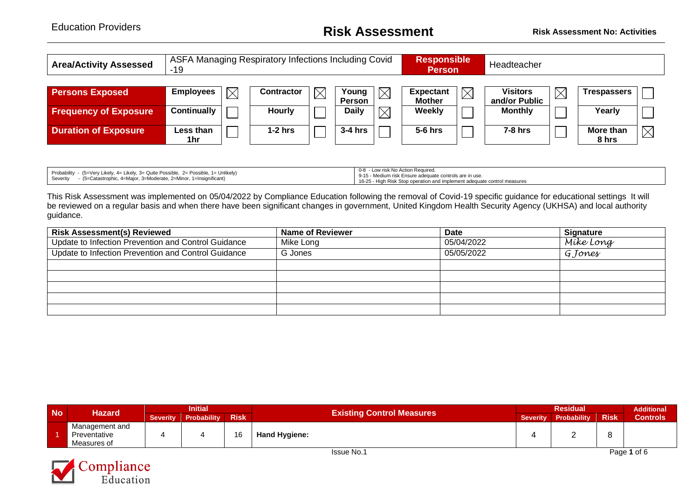## Education Providers **Risk Assessment Risk Assessment No: Activities**

| <b>Area/Activity Assessed</b> | -19                             | ASFA Managing Respiratory Infections Including Covid |                        |             | <b>Responsible</b><br><b>Person</b> |             | Headteacher                     |             |                    |             |
|-------------------------------|---------------------------------|------------------------------------------------------|------------------------|-------------|-------------------------------------|-------------|---------------------------------|-------------|--------------------|-------------|
| <b>Persons Exposed</b>        | <b>Employees</b><br>$\boxtimes$ | Contractor                                           | Young                  |             | <b>Expectant</b>                    | $\boxtimes$ | <b>Visitors</b>                 | $\boxtimes$ | <b>Trespassers</b> |             |
| <b>Frequency of Exposure</b>  | <b>Continually</b>              | <b>Hourly</b>                                        | Person<br><b>Daily</b> | $\boxtimes$ | <b>Mother</b><br><b>Weekly</b>      |             | and/or Public<br><b>Monthly</b> |             | Yearly             |             |
| <b>Duration of Exposure</b>   | Less than<br>1hr                | $1-2$ hrs                                            | $3-4$ hrs              |             | $5-6$ hrs                           |             | $7-8$ hrs                       |             | More than<br>8 hrs | $\boxtimes$ |

| Probability - (5=Very Likely, 4= Likely, 3= Quite Possible, 2= Possible, 1= Unlikely) | 0-8 - Low risk No Action Required.<br>9-15 - Medium risk Ensure adequate controls are in use. |
|---------------------------------------------------------------------------------------|-----------------------------------------------------------------------------------------------|
| - (5=Catastrophic, 4=Major, 3=Moderate, 2=Minor, 1=Insignificant)<br>Severity         | 16-25 - High Risk Stop operation and implement adequate control measures                      |

This Risk Assessment was implemented on 05/04/2022 by Compliance Education following the removal of Covid-19 specific guidance for educational settings It will be reviewed on a regular basis and when there have been significant changes in government, United Kingdom Health Security Agency (UKHSA) and local authority guidance.

| <b>Risk Assessment(s) Reviewed</b>                  | Name of Reviewer | <b>Date</b> | <b>Signature</b> |
|-----------------------------------------------------|------------------|-------------|------------------|
| Update to Infection Prevention and Control Guidance | Mike Long        | 05/04/2022  | Míke Long        |
| Update to Infection Prevention and Control Guidance | G Jones          | 05/05/2022  | G Jones          |
|                                                     |                  |             |                  |
|                                                     |                  |             |                  |
|                                                     |                  |             |                  |
|                                                     |                  |             |                  |
|                                                     |                  |             |                  |

| <b>No</b>         | <b>Hazard</b>                                 | <b>Initial</b>  |                    |             |                                  |                 | <b>Residual</b> |             |                 |  |
|-------------------|-----------------------------------------------|-----------------|--------------------|-------------|----------------------------------|-----------------|-----------------|-------------|-----------------|--|
|                   |                                               | <b>Severity</b> | <b>Probability</b> | <b>Risk</b> | <b>Existing Control Measures</b> | <b>Severity</b> | Probability     | <b>Risk</b> | <b>Controls</b> |  |
|                   | Management and<br>Preventative<br>Measures of |                 |                    | 16          | <b>Hand Hygiene:</b>             |                 |                 |             |                 |  |
| <b>Issue No.1</b> |                                               |                 |                    |             |                                  |                 |                 | Page 1 of 6 |                 |  |

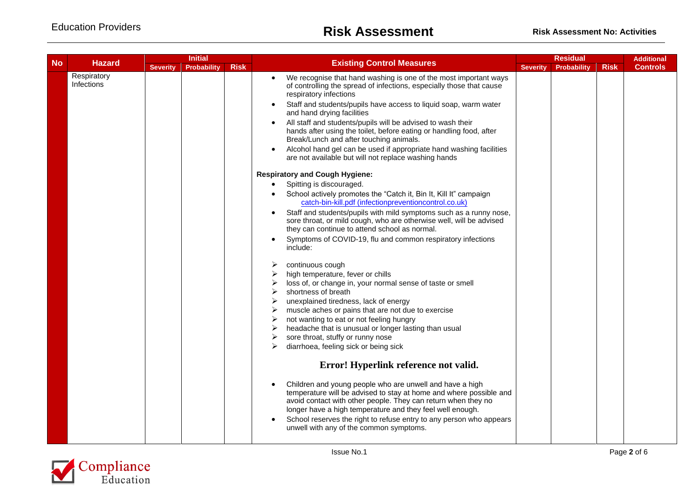|           | <b>Initial</b>            |                 |                    |             | Residual                                                                                                                                                                                                                                                                                                                                                                       |                 |                    | <b>Additional</b> |                 |
|-----------|---------------------------|-----------------|--------------------|-------------|--------------------------------------------------------------------------------------------------------------------------------------------------------------------------------------------------------------------------------------------------------------------------------------------------------------------------------------------------------------------------------|-----------------|--------------------|-------------------|-----------------|
| <b>No</b> | <b>Hazard</b>             | <b>Severity</b> | <b>Probability</b> | <b>Risk</b> | <b>Existing Control Measures</b>                                                                                                                                                                                                                                                                                                                                               | <b>Severity</b> | <b>Probability</b> | <b>Risk</b>       | <b>Controls</b> |
|           | Respiratory<br>Infections |                 |                    |             | We recognise that hand washing is one of the most important ways<br>of controlling the spread of infections, especially those that cause<br>respiratory infections                                                                                                                                                                                                             |                 |                    |                   |                 |
|           |                           |                 |                    |             | Staff and students/pupils have access to liquid soap, warm water<br>and hand drying facilities                                                                                                                                                                                                                                                                                 |                 |                    |                   |                 |
|           |                           |                 |                    |             | All staff and students/pupils will be advised to wash their<br>hands after using the toilet, before eating or handling food, after<br>Break/Lunch and after touching animals.                                                                                                                                                                                                  |                 |                    |                   |                 |
|           |                           |                 |                    |             | Alcohol hand gel can be used if appropriate hand washing facilities<br>are not available but will not replace washing hands                                                                                                                                                                                                                                                    |                 |                    |                   |                 |
|           |                           |                 |                    |             | <b>Respiratory and Cough Hygiene:</b>                                                                                                                                                                                                                                                                                                                                          |                 |                    |                   |                 |
|           |                           |                 |                    |             | Spitting is discouraged.<br>$\bullet$                                                                                                                                                                                                                                                                                                                                          |                 |                    |                   |                 |
|           |                           |                 |                    |             | School actively promotes the "Catch it, Bin It, Kill It" campaign<br>catch-bin-kill.pdf (infectionpreventioncontrol.co.uk)                                                                                                                                                                                                                                                     |                 |                    |                   |                 |
|           |                           |                 |                    |             | Staff and students/pupils with mild symptoms such as a runny nose,<br>sore throat, or mild cough, who are otherwise well, will be advised<br>they can continue to attend school as normal.                                                                                                                                                                                     |                 |                    |                   |                 |
|           |                           |                 |                    |             | Symptoms of COVID-19, flu and common respiratory infections<br>include:                                                                                                                                                                                                                                                                                                        |                 |                    |                   |                 |
|           |                           |                 |                    |             | continuous cough<br>➤                                                                                                                                                                                                                                                                                                                                                          |                 |                    |                   |                 |
|           |                           |                 |                    |             | high temperature, fever or chills                                                                                                                                                                                                                                                                                                                                              |                 |                    |                   |                 |
|           |                           |                 |                    |             | loss of, or change in, your normal sense of taste or smell                                                                                                                                                                                                                                                                                                                     |                 |                    |                   |                 |
|           |                           |                 |                    |             | shortness of breath                                                                                                                                                                                                                                                                                                                                                            |                 |                    |                   |                 |
|           |                           |                 |                    |             | unexplained tiredness, lack of energy                                                                                                                                                                                                                                                                                                                                          |                 |                    |                   |                 |
|           |                           |                 |                    |             | muscle aches or pains that are not due to exercise                                                                                                                                                                                                                                                                                                                             |                 |                    |                   |                 |
|           |                           |                 |                    |             | not wanting to eat or not feeling hungry                                                                                                                                                                                                                                                                                                                                       |                 |                    |                   |                 |
|           |                           |                 |                    |             | headache that is unusual or longer lasting than usual                                                                                                                                                                                                                                                                                                                          |                 |                    |                   |                 |
|           |                           |                 |                    |             | sore throat, stuffy or runny nose                                                                                                                                                                                                                                                                                                                                              |                 |                    |                   |                 |
|           |                           |                 |                    |             | diarrhoea, feeling sick or being sick                                                                                                                                                                                                                                                                                                                                          |                 |                    |                   |                 |
|           |                           |                 |                    |             | Error! Hyperlink reference not valid.                                                                                                                                                                                                                                                                                                                                          |                 |                    |                   |                 |
|           |                           |                 |                    |             | Children and young people who are unwell and have a high<br>temperature will be advised to stay at home and where possible and<br>avoid contact with other people. They can return when they no<br>longer have a high temperature and they feel well enough.<br>School reserves the right to refuse entry to any person who appears<br>unwell with any of the common symptoms. |                 |                    |                   |                 |
|           |                           |                 |                    |             |                                                                                                                                                                                                                                                                                                                                                                                |                 |                    |                   |                 |

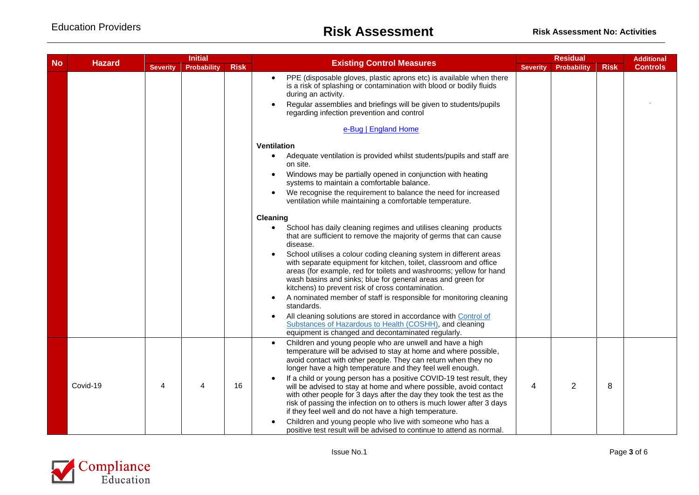|                            | <b>Initial</b> |                                       |   |             | <b>Residual</b>                                                                                                                                                                                                                                                                                                                                                                                                                                                                                                                                                                                                  |   |                    | <b>Additional</b> |                 |
|----------------------------|----------------|---------------------------------------|---|-------------|------------------------------------------------------------------------------------------------------------------------------------------------------------------------------------------------------------------------------------------------------------------------------------------------------------------------------------------------------------------------------------------------------------------------------------------------------------------------------------------------------------------------------------------------------------------------------------------------------------------|---|--------------------|-------------------|-----------------|
| <b>No</b><br><b>Hazard</b> |                | <b>Severity</b><br><b>Probability</b> |   | <b>Risk</b> | <b>Existing Control Measures</b>                                                                                                                                                                                                                                                                                                                                                                                                                                                                                                                                                                                 |   | <b>Probability</b> | <b>Risk</b>       | <b>Controls</b> |
|                            |                |                                       |   |             | PPE (disposable gloves, plastic aprons etc) is available when there<br>is a risk of splashing or contamination with blood or bodily fluids<br>during an activity.<br>Regular assemblies and briefings will be given to students/pupils<br>regarding infection prevention and control                                                                                                                                                                                                                                                                                                                             |   |                    |                   |                 |
|                            |                |                                       |   |             | e-Bug   England Home                                                                                                                                                                                                                                                                                                                                                                                                                                                                                                                                                                                             |   |                    |                   |                 |
|                            |                |                                       |   |             | Ventilation                                                                                                                                                                                                                                                                                                                                                                                                                                                                                                                                                                                                      |   |                    |                   |                 |
|                            |                |                                       |   |             | Adequate ventilation is provided whilst students/pupils and staff are<br>on site.                                                                                                                                                                                                                                                                                                                                                                                                                                                                                                                                |   |                    |                   |                 |
|                            |                |                                       |   |             | Windows may be partially opened in conjunction with heating<br>systems to maintain a comfortable balance.                                                                                                                                                                                                                                                                                                                                                                                                                                                                                                        |   |                    |                   |                 |
|                            |                |                                       |   |             | We recognise the requirement to balance the need for increased<br>ventilation while maintaining a comfortable temperature.                                                                                                                                                                                                                                                                                                                                                                                                                                                                                       |   |                    |                   |                 |
|                            |                |                                       |   |             | <b>Cleaning</b>                                                                                                                                                                                                                                                                                                                                                                                                                                                                                                                                                                                                  |   |                    |                   |                 |
|                            |                |                                       |   |             | School has daily cleaning regimes and utilises cleaning products<br>that are sufficient to remove the majority of germs that can cause<br>disease.                                                                                                                                                                                                                                                                                                                                                                                                                                                               |   |                    |                   |                 |
|                            |                |                                       |   |             | School utilises a colour coding cleaning system in different areas<br>with separate equipment for kitchen, toilet, classroom and office<br>areas (for example, red for toilets and washrooms; yellow for hand<br>wash basins and sinks; blue for general areas and green for<br>kitchens) to prevent risk of cross contamination.                                                                                                                                                                                                                                                                                |   |                    |                   |                 |
|                            |                |                                       |   |             | A nominated member of staff is responsible for monitoring cleaning<br>standards.                                                                                                                                                                                                                                                                                                                                                                                                                                                                                                                                 |   |                    |                   |                 |
|                            |                |                                       |   |             | All cleaning solutions are stored in accordance with Control of<br>Substances of Hazardous to Health (COSHH), and cleaning<br>equipment is changed and decontaminated regularly.                                                                                                                                                                                                                                                                                                                                                                                                                                 |   |                    |                   |                 |
|                            | Covid-19       | 4                                     | 4 | 16          | Children and young people who are unwell and have a high<br>temperature will be advised to stay at home and where possible,<br>avoid contact with other people. They can return when they no<br>longer have a high temperature and they feel well enough.<br>If a child or young person has a positive COVID-19 test result, they<br>will be advised to stay at home and where possible, avoid contact<br>with other people for 3 days after the day they took the test as the<br>risk of passing the infection on to others is much lower after 3 days<br>if they feel well and do not have a high temperature. | 4 | 2                  | 8                 |                 |
|                            |                |                                       |   |             | Children and young people who live with someone who has a<br>positive test result will be advised to continue to attend as normal.                                                                                                                                                                                                                                                                                                                                                                                                                                                                               |   |                    |                   |                 |

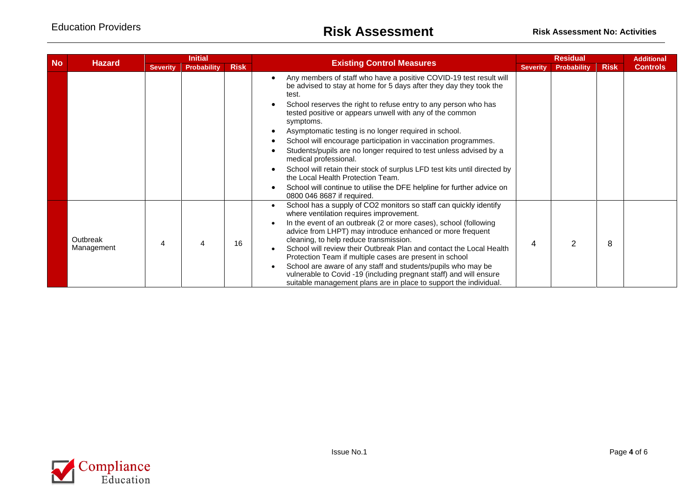|           | <b>Initial</b>         |                 |                    |             | <b>Residual</b>                                                                                                                                                                                                                                                                                                                                                                                                                                                                                                                                                                                                                           |                 |                    | <b>Additional</b> |                 |
|-----------|------------------------|-----------------|--------------------|-------------|-------------------------------------------------------------------------------------------------------------------------------------------------------------------------------------------------------------------------------------------------------------------------------------------------------------------------------------------------------------------------------------------------------------------------------------------------------------------------------------------------------------------------------------------------------------------------------------------------------------------------------------------|-----------------|--------------------|-------------------|-----------------|
| <b>No</b> | <b>Hazard</b>          | <b>Severity</b> | <b>Probability</b> | <b>Risk</b> | <b>Existing Control Measures</b>                                                                                                                                                                                                                                                                                                                                                                                                                                                                                                                                                                                                          | <b>Severity</b> | <b>Probability</b> | <b>Risk</b>       | <b>Controls</b> |
|           |                        |                 |                    |             | Any members of staff who have a positive COVID-19 test result will<br>be advised to stay at home for 5 days after they day they took the<br>test.<br>School reserves the right to refuse entry to any person who has<br>tested positive or appears unwell with any of the common<br>symptoms.<br>Asymptomatic testing is no longer required in school.<br>School will encourage participation in vaccination programmes.<br>Students/pupils are no longer required to test unless advised by a<br>medical professional.<br>School will retain their stock of surplus LFD test kits until directed by<br>the Local Health Protection Team. |                 |                    |                   |                 |
|           |                        |                 |                    |             | School will continue to utilise the DFE helpline for further advice on<br>0800 046 8687 if required.                                                                                                                                                                                                                                                                                                                                                                                                                                                                                                                                      |                 |                    |                   |                 |
|           | Outbreak<br>Management |                 | Δ                  | 16          | School has a supply of CO2 monitors so staff can quickly identify<br>where ventilation requires improvement.<br>In the event of an outbreak (2 or more cases), school (following<br>advice from LHPT) may introduce enhanced or more frequent<br>cleaning, to help reduce transmission.<br>School will review their Outbreak Plan and contact the Local Health<br>Protection Team if multiple cases are present in school<br>School are aware of any staff and students/pupils who may be<br>vulnerable to Covid -19 (including pregnant staff) and will ensure<br>suitable management plans are in place to support the individual.      | 4               | $\mathcal{P}$      | 8                 |                 |

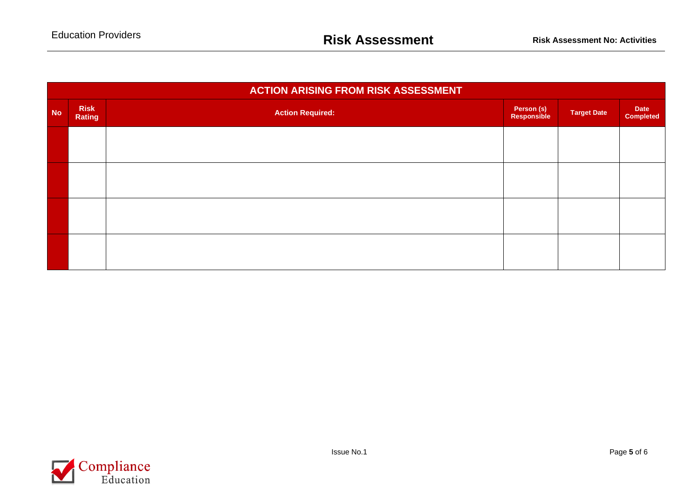|           | <b>ACTION ARISING FROM RISK ASSESSMENT</b> |                         |                           |                    |                                 |  |  |  |  |  |  |  |
|-----------|--------------------------------------------|-------------------------|---------------------------|--------------------|---------------------------------|--|--|--|--|--|--|--|
| <b>No</b> | <b>Risk</b><br>Rating                      | <b>Action Required:</b> | Person (s)<br>Responsible | <b>Target Date</b> | <b>Date</b><br><b>Completed</b> |  |  |  |  |  |  |  |
|           |                                            |                         |                           |                    |                                 |  |  |  |  |  |  |  |
|           |                                            |                         |                           |                    |                                 |  |  |  |  |  |  |  |
|           |                                            |                         |                           |                    |                                 |  |  |  |  |  |  |  |
|           |                                            |                         |                           |                    |                                 |  |  |  |  |  |  |  |
|           |                                            |                         |                           |                    |                                 |  |  |  |  |  |  |  |
|           |                                            |                         |                           |                    |                                 |  |  |  |  |  |  |  |